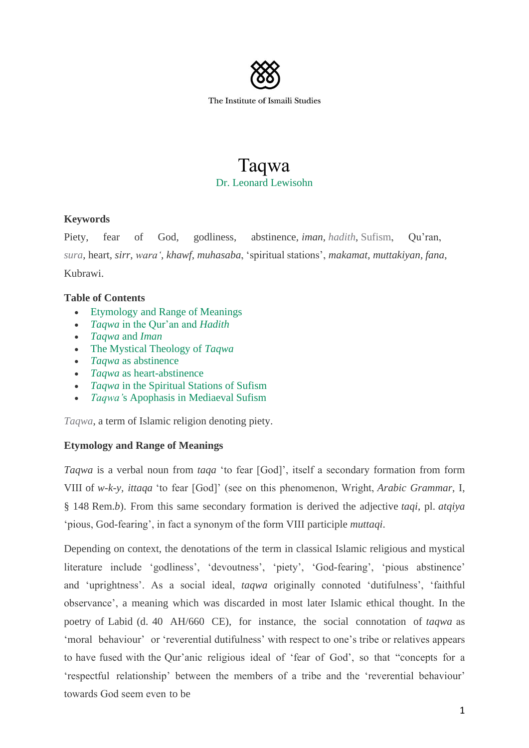

# Taqwa Dr. Leonard Lewisohn

# **Keywords**

Piety, fear of God, godliness, abstinence, *iman*, *hadith*, Sufism, Qu'ran, *sura*, heart, *sirr*, *wara'*, *khawf*, *muhasaba*, 'spiritual stations', *makamat*, *muttakiyan, fana*, Kubrawi.

# **Table of Contents**

- Etymology and Range of Meanings
- *Taqwa* in the Qur'an and *Hadith*
- *Taqwa* and *Iman*
- The Mystical Theology of *Taqwa*
- *Taqwa* as abstinence
- *Taqwa* as heart-abstinence
- *Taqwa* in the Spiritual Stations of Sufism
- *Taqwa'*s Apophasis in Mediaeval Sufism

*Taqwa*, a term of Islamic religion denoting piety.

# **Etymology and Range of Meanings**

*Taqwa* is a verbal noun from *taqa* 'to fear [God]', itself a secondary formation from form VIII of *w-k-y, ittaqa* 'to fear [God]' (see on this phenomenon, Wright, *Arabic Grammar*, I, § 148 Rem.*b*). From this same secondary formation is derived the adjective *taqi*, pl. *atqiya* 'pious, God-fearing', in fact a synonym of the form VIII participle *muttaqi*.

Depending on context, the denotations of the term in classical Islamic religious and mystical literature include 'godliness', 'devoutness', 'piety', 'God-fearing', 'pious abstinence' and 'uprightness'. As a social ideal, *taqwa* originally connoted 'dutifulness', 'faithful observance', a meaning which was discarded in most later Islamic ethical thought. In the poetry of Labid (d. 40 AH/660 CE), for instance, the social connotation of *taqwa* as 'moral behaviour' or 'reverential dutifulness' with respect to one's tribe or relatives appears to have fused with the Qur'anic religious ideal of 'fear of God', so that "concepts for a 'respectful relationship' between the members of a tribe and the 'reverential behaviour' towards God seem even to be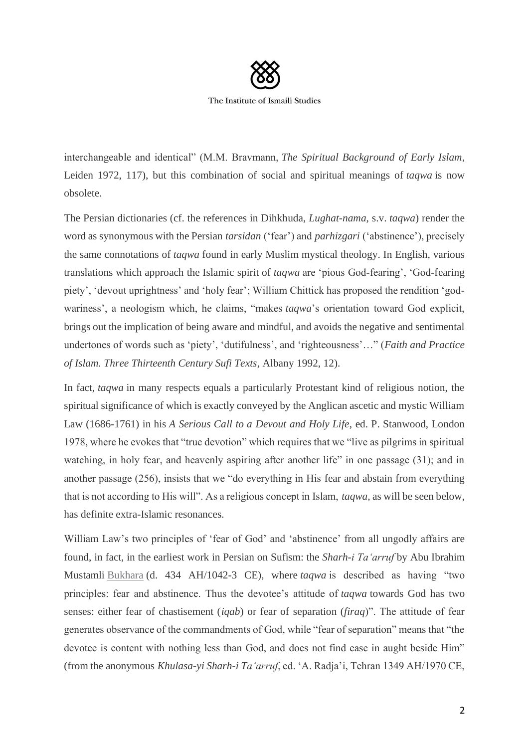

The Institute of Ismaili Studies

interchangeable and identical" (M.M. Bravmann, *The Spiritual Background of Early Islam*, Leiden 1972, 117), but this combination of social and spiritual meanings of *taqwa* is now obsolete.

The Persian dictionaries (cf. the references in Dihkhuda, *Lughat-nama*, s.v. *taqwa*) render the word as synonymous with the Persian *tarsidan* ('fear') and *parhizgari* ('abstinence'), precisely the same connotations of *taqwa* found in early Muslim mystical theology. In English, various translations which approach the Islamic spirit of *taqwa* are 'pious God-fearing', 'God-fearing piety', 'devout uprightness' and 'holy fear'; William Chittick has proposed the rendition 'godwariness', a neologism which, he claims, "makes *taqwa*'s orientation toward God explicit, brings out the implication of being aware and mindful, and avoids the negative and sentimental undertones of words such as 'piety', 'dutifulness', and 'righteousness'…" (*Faith and Practice of Islam. Three Thirteenth Century Sufi Texts*, Albany 1992, 12).

In fact, *taqwa* in many respects equals a particularly Protestant kind of religious notion, the spiritual significance of which is exactly conveyed by the Anglican ascetic and mystic William Law (1686-1761) in his *A Serious Call to a Devout and Holy Life*, ed. P. Stanwood, London 1978, where he evokes that "true devotion" which requires that we "live as pilgrims in spiritual watching, in holy fear, and heavenly aspiring after another life" in one passage (31); and in another passage (256), insists that we "do everything in His fear and abstain from everything that is not according to His will". As a religious concept in Islam, *taqwa*, as will be seen below, has definite extra-Islamic resonances.

William Law's two principles of 'fear of God' and 'abstinence' from all ungodly affairs are found, in fact, in the earliest work in Persian on Sufism: the *Sharh-i Ta'arruf* by Abu Ibrahim Mustamli Bukhara (d. 434 AH/1042-3 CE), where *taqwa* is described as having "two principles: fear and abstinence. Thus the devotee's attitude of *taqwa* towards God has two senses: either fear of chastisement (*iqab*) or fear of separation (*firaq*)". The attitude of fear generates observance of the commandments of God, while "fear of separation" means that "the devotee is content with nothing less than God, and does not find ease in aught beside Him" (from the anonymous *Khulasa-yi Sharh-i Ta'arruf*, ed. 'A. Radja'i, Tehran 1349 AH/1970 CE,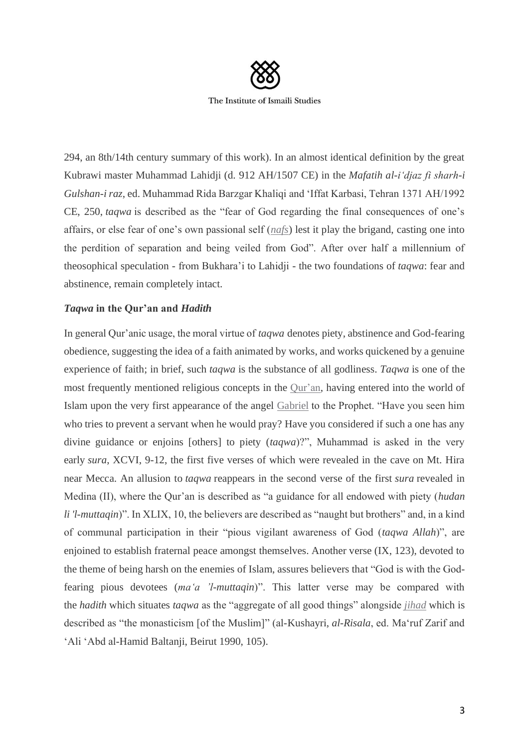

294, an 8th/14th century summary of this work). In an almost identical definition by the great Kubrawi master Muhammad Lahidji (d. 912 AH/1507 CE) in the *Mafatih al-i'djaz fi sharh-i Gulshan-i raz*, ed. Muhammad Rida Barzgar Khaliqi and 'Iffat Karbasi, Tehran 1371 AH/1992 CE, 250, *taqwa* is described as the "fear of God regarding the final consequences of one's affairs, or else fear of one's own passional self (*nafs*) lest it play the brigand, casting one into the perdition of separation and being veiled from God". After over half a millennium of theosophical speculation - from Bukhara'i to Lahidji - the two foundations of *taqwa*: fear and abstinence, remain completely intact.

# *Taqwa* **in the Qur'an and** *Hadith*

In general Qur'anic usage, the moral virtue of *taqwa* denotes piety, abstinence and God-fearing obedience, suggesting the idea of a faith animated by works, and works quickened by a genuine experience of faith; in brief, such *taqwa* is the substance of all godliness. *Taqwa* is one of the most frequently mentioned religious concepts in the Qur'an, having entered into the world of Islam upon the very first appearance of the angel Gabriel to the Prophet. "Have you seen him who tries to prevent a servant when he would pray? Have you considered if such a one has any divine guidance or enjoins [others] to piety (*taqwa*)?", Muhammad is asked in the very early *sura*, XCVI, 9-12, the first five verses of which were revealed in the cave on Mt. Hira near Mecca. An allusion to *taqwa* reappears in the second verse of the first *sura* revealed in Medina (II), where the Qur'an is described as "a guidance for all endowed with piety (*hudan li 'l-muttaqin*)". In XLIX, 10, the believers are described as "naught but brothers" and, in a kind of communal participation in their "pious vigilant awareness of God (*taqwa Allah*)", are enjoined to establish fraternal peace amongst themselves. Another verse (IX, 123), devoted to the theme of being harsh on the enemies of Islam, assures believers that "God is with the Godfearing pious devotees (*ma'a 'l-muttaqin*)". This latter verse may be compared with the *hadith* which situates *taqwa* as the "aggregate of all good things" alongside *jihad* which is described as "the monasticism [of the Muslim]" (al-Kushayri, *al-Risala*, ed. Ma'ruf Zarif and 'Ali 'Abd al-Hamid Baltanji, Beirut 1990, 105).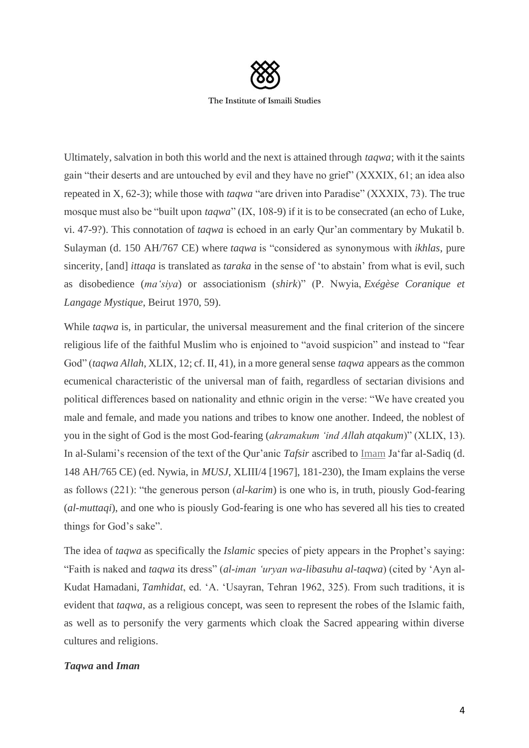

Ultimately, salvation in both this world and the next is attained through *taqwa*; with it the saints gain "their deserts and are untouched by evil and they have no grief" (XXXIX, 61; an idea also repeated in X, 62-3); while those with *taqwa* "are driven into Paradise" (XXXIX, 73). The true mosque must also be "built upon *taqwa*" (IX, 108-9) if it is to be consecrated (an echo of Luke, vi. 47-9?). This connotation of *taqwa* is echoed in an early Qur'an commentary by Mukatil b. Sulayman (d. 150 AH/767 CE) where *taqwa* is "considered as synonymous with *ikhlas*, pure sincerity, [and] *ittaqa* is translated as *taraka* in the sense of 'to abstain' from what is evil, such as disobedience (*ma'siya*) or associationism (*shirk*)" (P. Nwyia, *Exégèse Coranique et Langage Mystique*, Beirut 1970, 59).

While *taqwa* is, in particular, the universal measurement and the final criterion of the sincere religious life of the faithful Muslim who is enjoined to "avoid suspicion" and instead to "fear God" (*taqwa Allah*, XLIX, 12; cf. II, 41), in a more general sense *taqwa* appears as the common ecumenical characteristic of the universal man of faith, regardless of sectarian divisions and political differences based on nationality and ethnic origin in the verse: "We have created you male and female, and made you nations and tribes to know one another. Indeed, the noblest of you in the sight of God is the most God-fearing (*akramakum 'ind Allah atqakum*)" (XLIX, 13). In al-Sulami's recension of the text of the Qur'anic *Tafsir* ascribed to Imam Ja'far al-Sadiq (d. 148 AH/765 CE) (ed. Nywia, in *MUSJ*, XLIII/4 [1967], 181-230), the Imam explains the verse as follows (221): "the generous person (*al-karim*) is one who is, in truth, piously God-fearing (*al-muttaqi*), and one who is piously God-fearing is one who has severed all his ties to created things for God's sake".

The idea of *taqwa* as specifically the *Islamic* species of piety appears in the Prophet's saying: "Faith is naked and *taqwa* its dress" (*al-iman 'uryan wa-libasuhu al-taqwa*) (cited by 'Ayn al-Kudat Hamadani, *Tamhidat*, ed. 'A. 'Usayran, Tehran 1962, 325). From such traditions, it is evident that *taqwa*, as a religious concept, was seen to represent the robes of the Islamic faith, as well as to personify the very garments which cloak the Sacred appearing within diverse cultures and religions.

#### *Taqwa* **and** *Iman*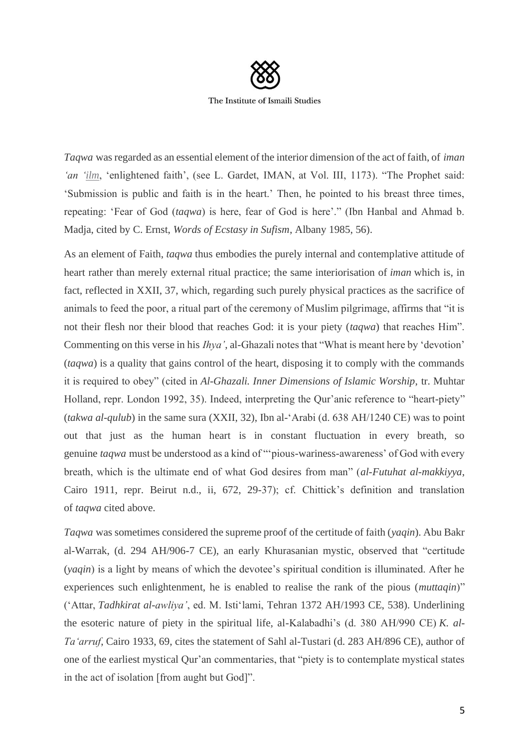

The Institute of Ismaili Studies

*Taqwa* was regarded as an essential element of the interior dimension of the act of faith, of *iman 'an 'ilm*, 'enlightened faith', (see L. Gardet, IMAN, at Vol. III, 1173). "The Prophet said: 'Submission is public and faith is in the heart.' Then, he pointed to his breast three times, repeating: 'Fear of God (*taqwa*) is here, fear of God is here'." (Ibn Hanbal and Ahmad b. Madja, cited by C. Ernst, *Words of Ecstasy in Sufism*, Albany 1985, 56).

As an element of Faith, *taqwa* thus embodies the purely internal and contemplative attitude of heart rather than merely external ritual practice; the same interiorisation of *iman* which is, in fact, reflected in XXII, 37, which, regarding such purely physical practices as the sacrifice of animals to feed the poor, a ritual part of the ceremony of Muslim pilgrimage, affirms that "it is not their flesh nor their blood that reaches God: it is your piety (*taqwa*) that reaches Him". Commenting on this verse in his *Ihya'*, al-Ghazali notes that "What is meant here by 'devotion' (*taqwa*) is a quality that gains control of the heart, disposing it to comply with the commands it is required to obey" (cited in *Al-Ghazali. Inner Dimensions of Islamic Worship*, tr. Muhtar Holland, repr. London 1992, 35). Indeed, interpreting the Qur'anic reference to "heart-piety" (*takwa al-qulub*) in the same sura (XXII, 32), Ibn al-'Arabi (d. 638 AH/1240 CE) was to point out that just as the human heart is in constant fluctuation in every breath, so genuine *taqwa* must be understood as a kind of "'pious-wariness-awareness' of God with every breath, which is the ultimate end of what God desires from man" (*al-Futuhat al-makkiyya*, Cairo 1911, repr. Beirut n.d., ii, 672, 29-37); cf. Chittick's definition and translation of *taqwa* cited above.

*Taqwa* was sometimes considered the supreme proof of the certitude of faith (*yaqin*). Abu Bakr al-Warrak, (d. 294 AH/906-7 CE), an early Khurasanian mystic, observed that "certitude (*yaqin*) is a light by means of which the devotee's spiritual condition is illuminated. After he experiences such enlightenment, he is enabled to realise the rank of the pious (*muttaqin*)" ('Attar, *Tadhkirat al-awliya'*, ed. M. Isti'lami, Tehran 1372 AH/1993 CE, 538). Underlining the esoteric nature of piety in the spiritual life, al-Kalabadhi's (d. 380 AH/990 CE) *K. al-Ta'arruf*, Cairo 1933, 69, cites the statement of Sahl al-Tustari (d. 283 AH/896 CE), author of one of the earliest mystical Qur'an commentaries, that "piety is to contemplate mystical states in the act of isolation [from aught but God]".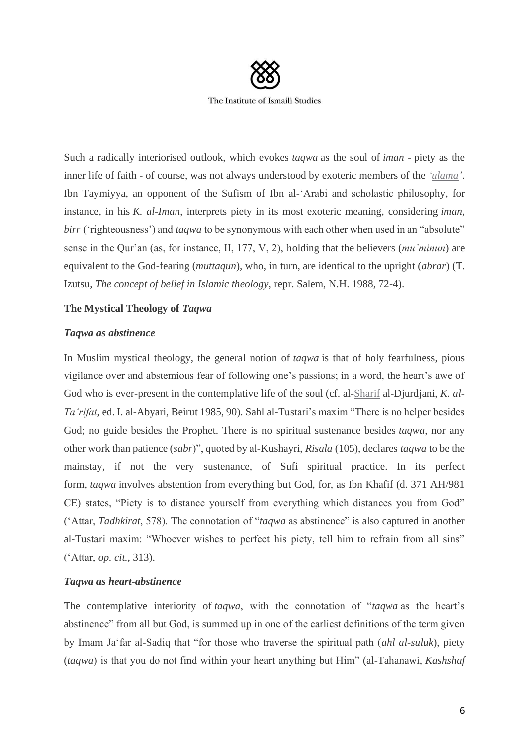

Such a radically interiorised outlook, which evokes *taqwa* as the soul of *iman -* piety as the inner life of faith - of course, was not always understood by exoteric members of the *'ulama'*. Ibn Taymiyya, an opponent of the Sufism of Ibn al-'Arabi and scholastic philosophy, for instance, in his *K. al-Iman*, interprets piety in its most exoteric meaning, considering *iman, birr* ('righteousness') and *taqwa* to be synonymous with each other when used in an "absolute" sense in the Qur'an (as, for instance, II, 177, V, 2), holding that the believers (*mu'minun*) are equivalent to the God-fearing (*muttaqun*), who, in turn, are identical to the upright (*abrar*) (T. Izutsu, *The concept of belief in Islamic theology*, repr. Salem, N.H. 1988, 72-4).

# **The Mystical Theology of** *Taqwa*

## *Taqwa as abstinence*

In Muslim mystical theology, the general notion of *taqwa* is that of holy fearfulness, pious vigilance over and abstemious fear of following one's passions; in a word, the heart's awe of God who is ever-present in the contemplative life of the soul (cf. al-Sharif al-Djurdjani, *K. al-Ta'rifat*, ed. I. al-Abyari, Beirut 1985, 90). Sahl al-Tustari's maxim "There is no helper besides God; no guide besides the Prophet. There is no spiritual sustenance besides *taqwa*, nor any other work than patience (*sabr*)", quoted by al-Kushayri, *Risala* (105), declares *taqwa* to be the mainstay, if not the very sustenance, of Sufi spiritual practice. In its perfect form, *taqwa* involves abstention from everything but God, for, as Ibn Khafif (d. 371 AH/981 CE) states, "Piety is to distance yourself from everything which distances you from God" ('Attar, *Tadhkirat*, 578). The connotation of "*taqwa* as abstinence" is also captured in another al-Tustari maxim: "Whoever wishes to perfect his piety, tell him to refrain from all sins" ('Attar, *op. cit.*, 313).

### *Taqwa as heart-abstinence*

The contemplative interiority of *taqwa*, with the connotation of "*taqwa* as the heart's abstinence" from all but God, is summed up in one of the earliest definitions of the term given by Imam Ja'far al-Sadiq that "for those who traverse the spiritual path (*ahl al-suluk*), piety (*taqwa*) is that you do not find within your heart anything but Him" (al-Tahanawi, *Kashshaf*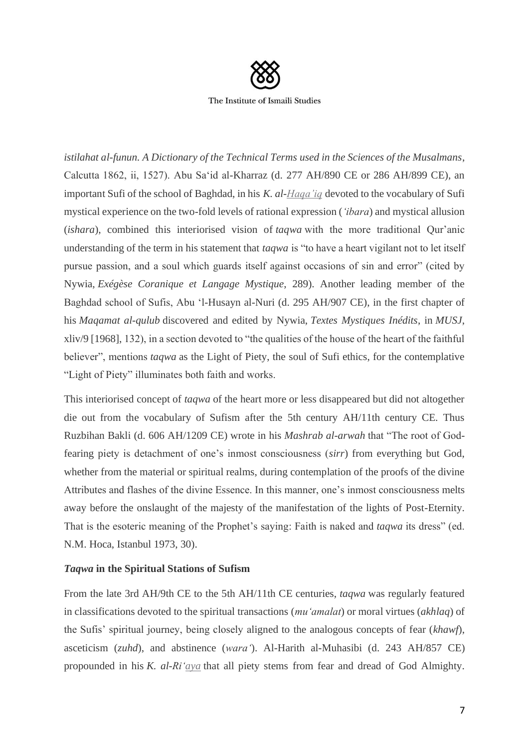

*istilahat al-funun. A Dictionary of the Technical Terms used in the Sciences of the Musalmans*, Calcutta 1862, ii, 1527). Abu Sa'id al-Kharraz (d. 277 AH/890 CE or 286 AH/899 CE), an important Sufi of the school of Baghdad, in his *K. al-Haqa'iq* devoted to the vocabulary of Sufi mystical experience on the two-fold levels of rational expression (*'ibara*) and mystical allusion (*ishara*), combined this interiorised vision of *taqwa* with the more traditional Qur'anic understanding of the term in his statement that *taqwa* is "to have a heart vigilant not to let itself pursue passion, and a soul which guards itself against occasions of sin and error" (cited by Nywia, *Exégèse Coranique et Langage Mystique*, 289). Another leading member of the Baghdad school of Sufis, Abu 'l-Husayn al-Nuri (d. 295 AH/907 CE), in the first chapter of his *Maqamat al-qulub* discovered and edited by Nywia, *Textes Mystiques Inédits*, in *MUSJ*, xliv/9 [1968], 132), in a section devoted to "the qualities of the house of the heart of the faithful believer", mentions *taqwa* as the Light of Piety, the soul of Sufi ethics, for the contemplative "Light of Piety" illuminates both faith and works.

This interiorised concept of *taqwa* of the heart more or less disappeared but did not altogether die out from the vocabulary of Sufism after the 5th century AH/11th century CE. Thus Ruzbihan Bakli (d. 606 AH/1209 CE) wrote in his *Mashrab al-arwah* that "The root of Godfearing piety is detachment of one's inmost consciousness (*sirr*) from everything but God, whether from the material or spiritual realms, during contemplation of the proofs of the divine Attributes and flashes of the divine Essence. In this manner, one's inmost consciousness melts away before the onslaught of the majesty of the manifestation of the lights of Post-Eternity. That is the esoteric meaning of the Prophet's saying: Faith is naked and *taqwa* its dress" (ed. N.M. Hoca, Istanbul 1973, 30).

# *Taqwa* **in the Spiritual Stations of Sufism**

From the late 3rd AH/9th CE to the 5th AH/11th CE centuries, *taqwa* was regularly featured in classifications devoted to the spiritual transactions (*mu'amalat*) or moral virtues (*akhlaq*) of the Sufis' spiritual journey, being closely aligned to the analogous concepts of fear (*khawf*), asceticism (*zuhd*), and abstinence (*wara'*). Al-Harith al-Muhasibi (d. 243 AH/857 CE) propounded in his *K. al-Ri'aya* that all piety stems from fear and dread of God Almighty.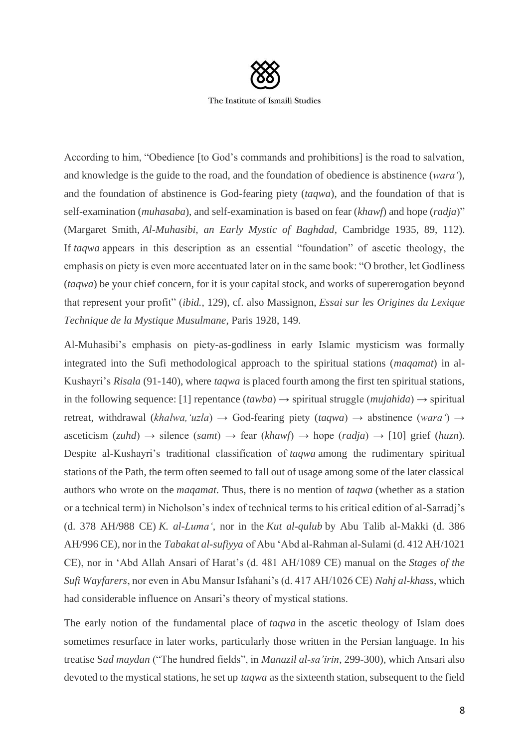

According to him, "Obedience [to God's commands and prohibitions] is the road to salvation, and knowledge is the guide to the road, and the foundation of obedience is abstinence (*wara'*), and the foundation of abstinence is God-fearing piety (*taqwa*), and the foundation of that is self-examination (*muhasaba*), and self-examination is based on fear (*khawf*) and hope (*radja*)" (Margaret Smith, *Al-Muhasibi, an Early Mystic of Baghdad*, Cambridge 1935, 89, 112). If *taqwa* appears in this description as an essential "foundation" of ascetic theology, the emphasis on piety is even more accentuated later on in the same book: "O brother, let Godliness (*taqwa*) be your chief concern, for it is your capital stock, and works of supererogation beyond that represent your profit" (*ibid.*, 129), cf. also Massignon, *Essai sur les Origines du Lexique Technique de la Mystique Musulmane*, Paris 1928, 149.

Al-Muhasibi's emphasis on piety-as-godliness in early Islamic mysticism was formally integrated into the Sufi methodological approach to the spiritual stations (*maqamat*) in al-Kushayri's *Risala* (91-140), where *taqwa* is placed fourth among the first ten spiritual stations, in the following sequence: [1] repentance  $(tawba) \rightarrow$  spiritual struggle  $(mujahida) \rightarrow$  spiritual retreat, withdrawal (*khalwa,'uzla*) → God-fearing piety (*taqwa*) → abstinence (*wara'*) → asceticism  $(zuhd) \rightarrow$  silence  $(samt) \rightarrow$  fear  $(khawf) \rightarrow$  hope  $(radja) \rightarrow [10]$  grief  $(huzn)$ . Despite al-Kushayri's traditional classification of *taqwa* among the rudimentary spiritual stations of the Path, the term often seemed to fall out of usage among some of the later classical authors who wrote on the *maqamat*. Thus, there is no mention of *taqwa* (whether as a station or a technical term) in Nicholson's index of technical terms to his critical edition of al-Sarradj's (d. 378 AH/988 CE) *K. al-Luma'*, nor in the *Kut al-qulub* by Abu Talib al-Makki (d. 386 AH/996 CE), nor in the *Tabakat al-sufiyya* of Abu 'Abd al-Rahman al-Sulami (d. 412 AH/1021 CE), nor in 'Abd Allah Ansari of Harat's (d. 481 AH/1089 CE) manual on the *Stages of the Sufi Wayfarers*, nor even in Abu Mansur Isfahani's (d. 417 AH/1026 CE) *Nahj al-khass*, which had considerable influence on Ansari's theory of mystical stations.

The early notion of the fundamental place of *taqwa* in the ascetic theology of Islam does sometimes resurface in later works, particularly those written in the Persian language. In his treatise S*ad maydan* ("The hundred fields", in *Manazil al-sa'irin*, 299-300), which Ansari also devoted to the mystical stations, he set up *taqwa* as the sixteenth station, subsequent to the field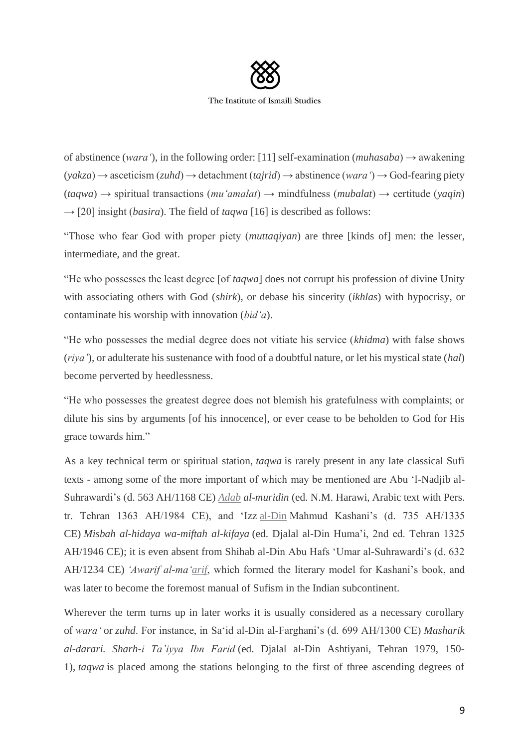

of abstinence (*wara*), in the following order: [11] self-examination (*muhasaba*)  $\rightarrow$  awakening (*yakza*) → asceticism (*zuhd*) → detachment (*tajrid*) → abstinence (*wara'*) → God-fearing piety (*taqwa*) → spiritual transactions (*mu'amalat*) → mindfulness (*mubalat*) → certitude (*yaqin*)  $\rightarrow$  [20] insight *(basira)*. The field of *taqwa* [16] is described as follows:

"Those who fear God with proper piety (*muttaqiyan*) are three [kinds of] men: the lesser, intermediate, and the great.

"He who possesses the least degree [of *taqwa*] does not corrupt his profession of divine Unity with associating others with God (*shirk*), or debase his sincerity (*ikhlas*) with hypocrisy, or contaminate his worship with innovation (*bid'a*).

"He who possesses the medial degree does not vitiate his service (*khidma*) with false shows (*riya'*), or adulterate his sustenance with food of a doubtful nature, or let his mystical state (*hal*) become perverted by heedlessness.

"He who possesses the greatest degree does not blemish his gratefulness with complaints; or dilute his sins by arguments [of his innocence], or ever cease to be beholden to God for His grace towards him."

As a key technical term or spiritual station, *taqwa* is rarely present in any late classical Sufi texts - among some of the more important of which may be mentioned are Abu 'l-Nadjib al-Suhrawardi's (d. 563 AH/1168 CE) *Adab al-muridin* (ed. N.M. Harawi, Arabic text with Pers. tr. Tehran 1363 AH/1984 CE), and 'Izz al-Din Mahmud Kashani's (d. 735 AH/1335 CE) *Misbah al-hidaya wa-miftah al-kifaya* (ed. Djalal al-Din Huma'i, 2nd ed. Tehran 1325 AH/1946 CE); it is even absent from Shihab al-Din Abu Hafs 'Umar al-Suhrawardi's (d. 632 AH/1234 CE) *'Awarif al-ma'arif*, which formed the literary model for Kashani's book, and was later to become the foremost manual of Sufism in the Indian subcontinent.

Wherever the term turns up in later works it is usually considered as a necessary corollary of *wara'* or *zuhd*. For instance, in Sa'id al-Din al-Farghani's (d. 699 AH/1300 CE) *Masharik al-darari. Sharh-i Ta'iyya Ibn Farid* (ed. Djalal al-Din Ashtiyani, Tehran 1979, 150- 1), *taqwa* is placed among the stations belonging to the first of three ascending degrees of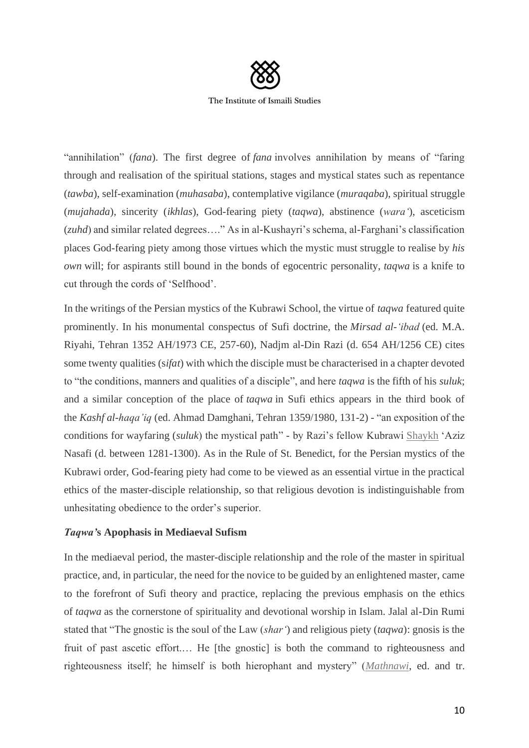

The Institute of Ismaili Studies

"annihilation" (*fana*). The first degree of *fana* involves annihilation by means of "faring through and realisation of the spiritual stations, stages and mystical states such as repentance (*tawba*), self-examination (*muhasaba*), contemplative vigilance (*muraqaba*), spiritual struggle (*mujahada*), sincerity (*ikhlas*), God-fearing piety (*taqwa*), abstinence (*wara'*), asceticism (*zuhd*) and similar related degrees…." As in al-Kushayri's schema, al-Farghani's classification places God-fearing piety among those virtues which the mystic must struggle to realise by *his own* will; for aspirants still bound in the bonds of egocentric personality, *taqwa* is a knife to cut through the cords of 'Selfhood'.

In the writings of the Persian mystics of the Kubrawi School, the virtue of *taqwa* featured quite prominently. In his monumental conspectus of Sufi doctrine, the *Mirsad al-'ibad* (ed. M.A. Riyahi, Tehran 1352 AH/1973 CE, 257-60), Nadjm al-Din Razi (d. 654 AH/1256 CE) cites some twenty qualities (s*ifat*) with which the disciple must be characterised in a chapter devoted to "the conditions, manners and qualities of a disciple", and here *taqwa* is the fifth of his *suluk*; and a similar conception of the place of *taqwa* in Sufi ethics appears in the third book of the *Kashf al-haqa'iq* (ed. Ahmad Damghani, Tehran 1359/1980, 131-2) - "an exposition of the conditions for wayfaring (*suluk*) the mystical path" - by Razi's fellow Kubrawi Shaykh 'Aziz Nasafi (d. between 1281-1300). As in the Rule of St. Benedict, for the Persian mystics of the Kubrawi order, God-fearing piety had come to be viewed as an essential virtue in the practical ethics of the master-disciple relationship, so that religious devotion is indistinguishable from unhesitating obedience to the order's superior.

# *Taqwa'***s Apophasis in Mediaeval Sufism**

In the mediaeval period, the master-disciple relationship and the role of the master in spiritual practice, and, in particular, the need for the novice to be guided by an enlightened master, came to the forefront of Sufi theory and practice, replacing the previous emphasis on the ethics of *taqwa* as the cornerstone of spirituality and devotional worship in Islam. Jalal al-Din Rumi stated that "The gnostic is the soul of the Law (*shar'*) and religious piety (*taqwa*): gnosis is the fruit of past ascetic effort.… He [the gnostic] is both the command to righteousness and righteousness itself; he himself is both hierophant and mystery" (*Mathnawi*, ed. and tr.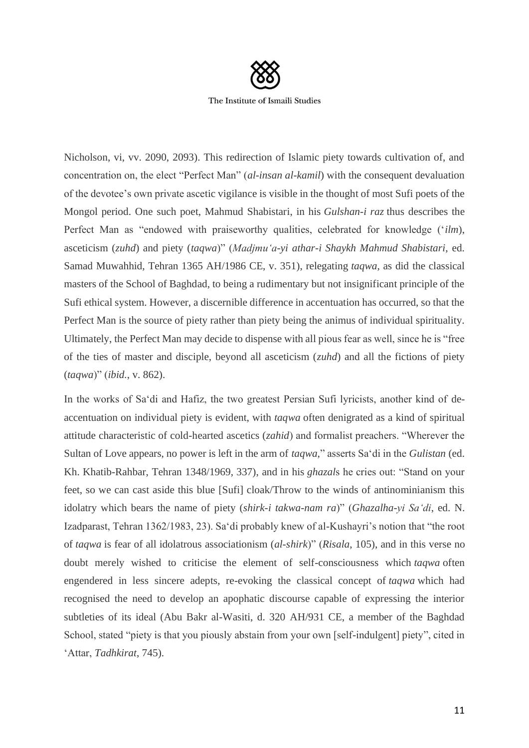

Nicholson, vi, vv. 2090, 2093). This redirection of Islamic piety towards cultivation of, and concentration on, the elect "Perfect Man" (*al-insan al-kamil*) with the consequent devaluation of the devotee's own private ascetic vigilance is visible in the thought of most Sufi poets of the Mongol period. One such poet, Mahmud Shabistari, in his *Gulshan-i raz* thus describes the Perfect Man as "endowed with praiseworthy qualities, celebrated for knowledge ('*ilm*), asceticism (*zuhd*) and piety (*taqwa*)" (*Madjmu'a-yi athar-i Shaykh Mahmud Shabistari*, ed. Samad Muwahhid, Tehran 1365 AH/1986 CE, v. 351), relegating *taqwa*, as did the classical masters of the School of Baghdad, to being a rudimentary but not insignificant principle of the Sufi ethical system. However, a discernible difference in accentuation has occurred, so that the Perfect Man is the source of piety rather than piety being the animus of individual spirituality. Ultimately, the Perfect Man may decide to dispense with all pious fear as well, since he is "free of the ties of master and disciple, beyond all asceticism (*zuhd*) and all the fictions of piety (*taqwa*)" (*ibid.*, v. 862).

In the works of Sa'di and Hafiz, the two greatest Persian Sufi lyricists, another kind of deaccentuation on individual piety is evident, with *taqwa* often denigrated as a kind of spiritual attitude characteristic of cold-hearted ascetics (*zahid*) and formalist preachers. "Wherever the Sultan of Love appears, no power is left in the arm of *taqwa*," asserts Sa'di in the *Gulistan* (ed. Kh. Khatib-Rahbar, Tehran 1348/1969, 337), and in his *ghazal*s he cries out: "Stand on your feet, so we can cast aside this blue [Sufi] cloak/Throw to the winds of antinominianism this idolatry which bears the name of piety (*shirk-i takwa-nam ra*)" (*Ghazalha-yi Sa'di*, ed. N. Izadparast, Tehran 1362/1983, 23). Sa'di probably knew of al-Kushayri's notion that "the root of *taqwa* is fear of all idolatrous associationism (*al-shirk*)" (*Risala*, 105), and in this verse no doubt merely wished to criticise the element of self-consciousness which *taqwa* often engendered in less sincere adepts, re-evoking the classical concept of *taqwa* which had recognised the need to develop an apophatic discourse capable of expressing the interior subtleties of its ideal (Abu Bakr al-Wasiti, d. 320 AH/931 CE, a member of the Baghdad School, stated "piety is that you piously abstain from your own [self-indulgent] piety", cited in 'Attar, *Tadhkirat*, 745).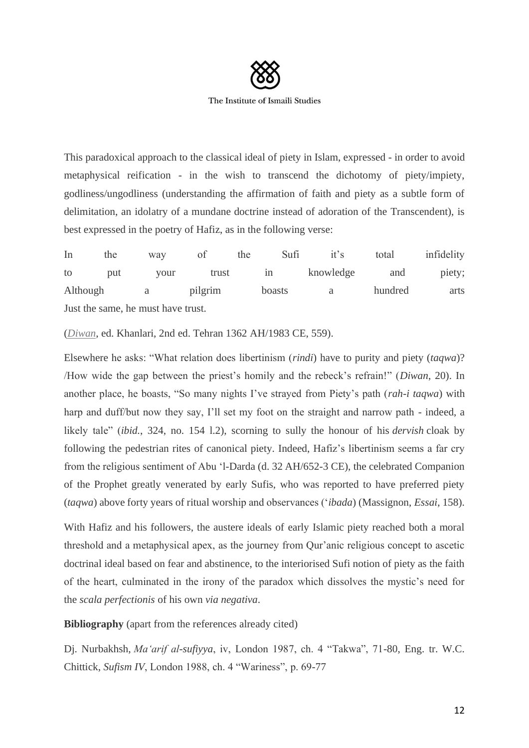

This paradoxical approach to the classical ideal of piety in Islam, expressed - in order to avoid metaphysical reification - in the wish to transcend the dichotomy of piety/impiety, godliness/ungodliness (understanding the affirmation of faith and piety as a subtle form of delimitation, an idolatry of a mundane doctrine instead of adoration of the Transcendent), is best expressed in the poetry of Hafiz, as in the following verse:

In the way of the Sufi it's total infidelity to put your trust in knowledge and piety; Although a pilgrim boasts a hundred arts Just the same, he must have trust.

(*Diwan*, ed. Khanlari, 2nd ed. Tehran 1362 AH/1983 CE, 559).

Elsewhere he asks: "What relation does libertinism (*rindi*) have to purity and piety (*taqwa*)? /How wide the gap between the priest's homily and the rebeck's refrain!" (*Diwan*, 20). In another place, he boasts, "So many nights I've strayed from Piety's path (*rah-i taqwa*) with harp and duff/but now they say, I'll set my foot on the straight and narrow path - indeed, a likely tale" (*ibid.*, 324, no. 154 l.2), scorning to sully the honour of his *dervish* cloak by following the pedestrian rites of canonical piety. Indeed, Hafiz's libertinism seems a far cry from the religious sentiment of Abu 'l-Darda (d. 32 AH/652-3 CE), the celebrated Companion of the Prophet greatly venerated by early Sufis, who was reported to have preferred piety (*taqwa*) above forty years of ritual worship and observances ('*ibada*) (Massignon, *Essai*, 158).

With Hafiz and his followers, the austere ideals of early Islamic piety reached both a moral threshold and a metaphysical apex, as the journey from Qur'anic religious concept to ascetic doctrinal ideal based on fear and abstinence, to the interiorised Sufi notion of piety as the faith of the heart, culminated in the irony of the paradox which dissolves the mystic's need for the *scala perfectionis* of his own *via negativa*.

**Bibliography** (apart from the references already cited)

Dj. Nurbakhsh, *Ma'arif al-sufiyya*, iv, London 1987, ch. 4 "Takwa", 71-80, Eng. tr. W.C. Chittick, *Sufism IV*, London 1988, ch. 4 "Wariness", p. 69-77